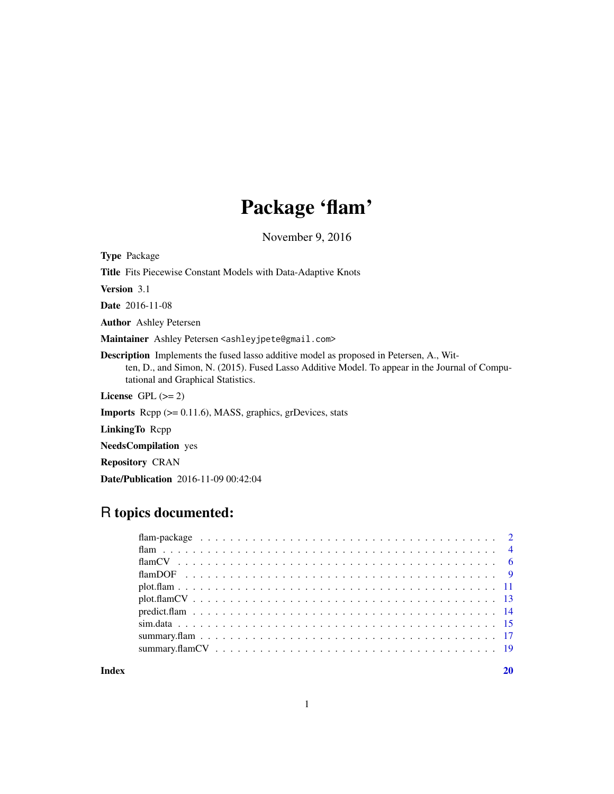# Package 'flam'

November 9, 2016

Type Package

Title Fits Piecewise Constant Models with Data-Adaptive Knots

Version 3.1

Date 2016-11-08

Author Ashley Petersen

Maintainer Ashley Petersen <ashleyjpete@gmail.com>

Description Implements the fused lasso additive model as proposed in Petersen, A., Witten, D., and Simon, N. (2015). Fused Lasso Additive Model. To appear in the Journal of Computational and Graphical Statistics.

License GPL  $(>= 2)$ 

Imports Rcpp (>= 0.11.6), MASS, graphics, grDevices, stats

LinkingTo Rcpp

NeedsCompilation yes

Repository CRAN

Date/Publication 2016-11-09 00:42:04

# R topics documented:

 $\bf 1$ ndex  $\bf 20$  $\bf 20$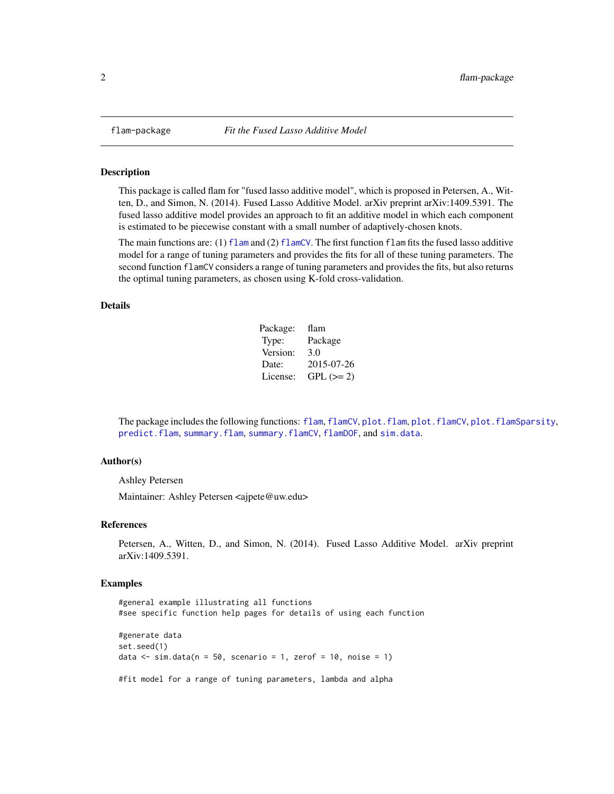<span id="page-1-0"></span>

This package is called flam for "fused lasso additive model", which is proposed in Petersen, A., Witten, D., and Simon, N. (2014). Fused Lasso Additive Model. arXiv preprint arXiv:1409.5391. The fused lasso additive model provides an approach to fit an additive model in which each component is estimated to be piecewise constant with a small number of adaptively-chosen knots.

The main functions are: (1)  $f$ lam and (2)  $f$ lamCV. The first function  $f$ lam fits the fused lasso additive model for a range of tuning parameters and provides the fits for all of these tuning parameters. The second function flamCV considers a range of tuning parameters and provides the fits, but also returns the optimal tuning parameters, as chosen using K-fold cross-validation.

# Details

| Package: | flam        |
|----------|-------------|
| Type:    | Package     |
| Version: | 3.0         |
| Date:    | 2015-07-26  |
| License: | $GPL (= 2)$ |

The package includes the following functions: [flam](#page-3-1), [flamCV](#page-5-1), [plot.flam](#page-10-1), [plot.flamCV](#page-12-1), [plot.flamSparsity](#page-16-1), [predict.flam](#page-13-1), [summary.flam](#page-16-2), [summary.flamCV](#page-18-1), [flamDOF](#page-8-1), and [sim.data](#page-14-1).

#### Author(s)

Ashley Petersen

Maintainer: Ashley Petersen <ajpete@uw.edu>

# References

Petersen, A., Witten, D., and Simon, N. (2014). Fused Lasso Additive Model. arXiv preprint arXiv:1409.5391.

#### Examples

#general example illustrating all functions #see specific function help pages for details of using each function #generate data set.seed(1) data  $\le$  sim.data(n = 50, scenario = 1, zerof = 10, noise = 1) #fit model for a range of tuning parameters, lambda and alpha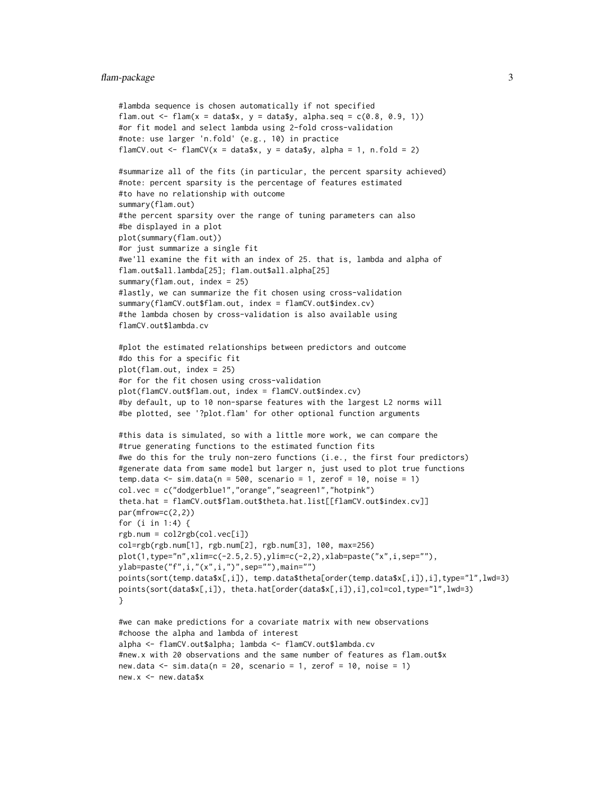#### flam-package 3

```
#lambda sequence is chosen automatically if not specified
flam.out \leq flam(x = data$x, y = data$y, alpha.seq = c(0.8, 0.9, 1))
#or fit model and select lambda using 2-fold cross-validation
#note: use larger 'n.fold' (e.g., 10) in practice
flamCV.out \le flamCV(x = data\y, y = data\y, alpha = 1, n.fold = 2)
#summarize all of the fits (in particular, the percent sparsity achieved)
#note: percent sparsity is the percentage of features estimated
#to have no relationship with outcome
summary(flam.out)
#the percent sparsity over the range of tuning parameters can also
#be displayed in a plot
plot(summary(flam.out))
#or just summarize a single fit
#we'll examine the fit with an index of 25. that is, lambda and alpha of
flam.out$all.lambda[25]; flam.out$all.alpha[25]
summary(flam.out, index = 25)
#lastly, we can summarize the fit chosen using cross-validation
summary(flamCV.out$flam.out, index = flamCV.out$index.cv)
#the lambda chosen by cross-validation is also available using
flamCV.out$lambda.cv
#plot the estimated relationships between predictors and outcome
#do this for a specific fit
plot(flam.out, index = 25)
#or for the fit chosen using cross-validation
plot(flamCV.out$flam.out, index = flamCV.out$index.cv)
#by default, up to 10 non-sparse features with the largest L2 norms will
#be plotted, see '?plot.flam' for other optional function arguments
#this data is simulated, so with a little more work, we can compare the
#true generating functions to the estimated function fits
#we do this for the truly non-zero functions (i.e., the first four predictors)
#generate data from same model but larger n, just used to plot true functions
temp.data \le sim.data(n = 500, scenario = 1, zerof = 10, noise = 1)
col.vec = c("dodgerblue1","orange","seagreen1","hotpink")
theta.hat = flamCV.out$flam.out$theta.hat.list[[flamCV.out$index.cv]]
par(mfrow=c(2,2))
for (i in 1:4) {
rgb.num = col2rgb(col.vec[i])
col=rgb(rgb.num[1], rgb.num[2], rgb.num[3], 100, max=256)
plot(1,type="n",xlim=c(-2.5,2.5),ylim=c(-2,2),xlab=paste("x",i,sep=""),
ylab=paste("f",i,"(x",i,")",sep=""),main="")
points(sort(temp.data$x[,i]), temp.data$theta[order(temp.data$x[,i]),i],type="l",lwd=3)
points(sort(data$x[,i]), theta.hat[order(data$x[,i]),i],col=col,type="l",lwd=3)
}
#we can make predictions for a covariate matrix with new observations
#choose the alpha and lambda of interest
alpha <- flamCV.out$alpha; lambda <- flamCV.out$lambda.cv
#new.x with 20 observations and the same number of features as flam.out$x
new.data \leq sim.data(n = 20, scenario = 1, zerof = 10, noise = 1)
new.x <- new.data$x
```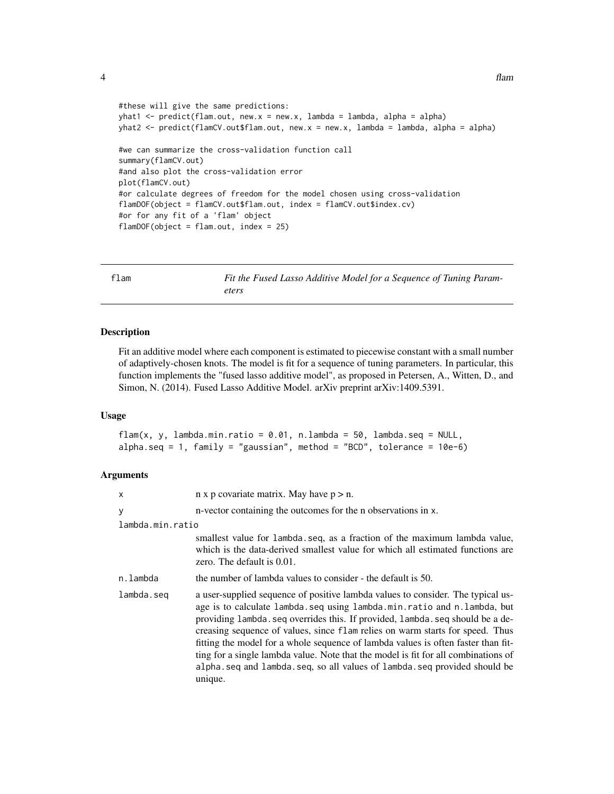```
#these will give the same predictions:
yhat1 <- predict(flam.out, new.x = new.x, lambda = lambda, alpha = alpha)
yhat2 <- predict(flamCV.out$flam.out, new.x = new.x, lambda = lambda, alpha = alpha)
#we can summarize the cross-validation function call
summary(flamCV.out)
#and also plot the cross-validation error
plot(flamCV.out)
#or calculate degrees of freedom for the model chosen using cross-validation
flamDOF(object = flamCV.out$flam.out, index = flamCV.out$index.cv)
#or for any fit of a 'flam' object
flamDOF(object = flam.out, index = 25)
```
<span id="page-3-1"></span>flam *Fit the Fused Lasso Additive Model for a Sequence of Tuning Param-*

*eters*

Description

Fit an additive model where each component is estimated to piecewise constant with a small number of adaptively-chosen knots. The model is fit for a sequence of tuning parameters. In particular, this function implements the "fused lasso additive model", as proposed in Petersen, A., Witten, D., and Simon, N. (2014). Fused Lasso Additive Model. arXiv preprint arXiv:1409.5391.

#### Usage

flam(x, y, lambda.min.ratio = 0.01, n.lambda = 50, lambda.seq = NULL, alpha.seq = 1, family = "gaussian", method = "BCD", tolerance =  $10e-6$ )

#### Arguments

| X                | $n \times p$ covariate matrix. May have $p > n$ .                                                                                                                                                                                                                                                                                                                                                                                                                                                                                                                                               |
|------------------|-------------------------------------------------------------------------------------------------------------------------------------------------------------------------------------------------------------------------------------------------------------------------------------------------------------------------------------------------------------------------------------------------------------------------------------------------------------------------------------------------------------------------------------------------------------------------------------------------|
| У                | n-vector containing the outcomes for the n observations in x.                                                                                                                                                                                                                                                                                                                                                                                                                                                                                                                                   |
| lambda.min.ratio |                                                                                                                                                                                                                                                                                                                                                                                                                                                                                                                                                                                                 |
|                  | smallest value for lambda seq, as a fraction of the maximum lambda value,<br>which is the data-derived smallest value for which all estimated functions are<br>zero. The default is $0.01$ .                                                                                                                                                                                                                                                                                                                                                                                                    |
| n.lambda         | the number of lambda values to consider - the default is 50.                                                                                                                                                                                                                                                                                                                                                                                                                                                                                                                                    |
| lambda.seg       | a user-supplied sequence of positive lambda values to consider. The typical us-<br>age is to calculate lambda.seq using lambda.min.ratio and n.lambda, but<br>providing lambda. seq overrides this. If provided, lambda. seq should be a de-<br>creasing sequence of values, since flam relies on warm starts for speed. Thus<br>fitting the model for a whole sequence of lambda values is often faster than fit-<br>ting for a single lambda value. Note that the model is fit for all combinations of<br>alpha.seq and lambda.seq, so all values of lambda.seq provided should be<br>unique. |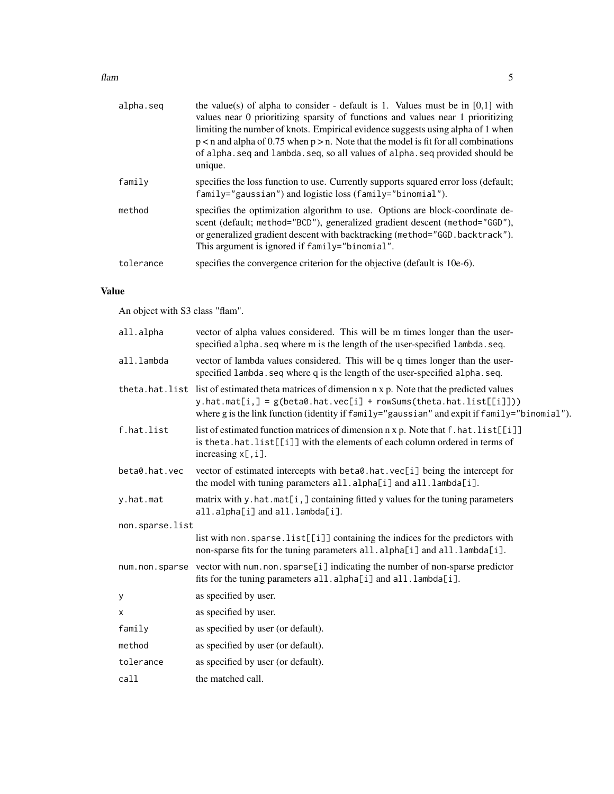#### $f$ lam  $5$

| alpha.seq | the value(s) of alpha to consider - default is 1. Values must be in $[0,1]$ with<br>values near 0 prioritizing sparsity of functions and values near 1 prioritizing<br>limiting the number of knots. Empirical evidence suggests using alpha of 1 when<br>$p < n$ and alpha of 0.75 when $p > n$ . Note that the model is fit for all combinations<br>of alpha. seq and lambda. seq, so all values of alpha. seq provided should be<br>unique. |
|-----------|------------------------------------------------------------------------------------------------------------------------------------------------------------------------------------------------------------------------------------------------------------------------------------------------------------------------------------------------------------------------------------------------------------------------------------------------|
| family    | specifies the loss function to use. Currently supports squared error loss (default;<br>family="gaussian") and logistic loss (family="binomial").                                                                                                                                                                                                                                                                                               |
| method    | specifies the optimization algorithm to use. Options are block-coordinate de-<br>scent (default; method="BCD"), generalized gradient descent (method="GGD"),<br>or generalized gradient descent with backtracking (method="GGD.backtrack").<br>This argument is ignored if family="binomial".                                                                                                                                                  |
| tolerance | specifies the convergence criterion for the objective (default is 10e-6).                                                                                                                                                                                                                                                                                                                                                                      |

# Value

An object with S3 class "flam".

| all.alpha       | vector of alpha values considered. This will be m times longer than the user-<br>specified alpha. seq where m is the length of the user-specified lambda. seq.                                                                                                                |
|-----------------|-------------------------------------------------------------------------------------------------------------------------------------------------------------------------------------------------------------------------------------------------------------------------------|
| all.lambda      | vector of lambda values considered. This will be q times longer than the user-<br>specified lambda. seq where q is the length of the user-specified alpha. seq.                                                                                                               |
|                 | theta.hat.list list of estimated theta matrices of dimension n x p. Note that the predicted values<br>$y.hat.mat[i,]=g(beta\theta.hat.vec[i] + rowSums(theta.hat.list[[i]]))$<br>where g is the link function (identity if family="gaussian" and expit if family="binomial"). |
| f.hat.list      | list of estimated function matrices of dimension n x p. Note that f . hat . list[[i]]<br>is theta.hat.list[[i]] with the elements of each column ordered in terms of<br>increasing $x$ [, i].                                                                                 |
| beta0.hat.vec   | vector of estimated intercepts with beta0.hat.vec[i] being the intercept for<br>the model with tuning parameters all.alpha[i] and all.lambda[i].                                                                                                                              |
| y.hat.mat       | matrix with y.hat.mat[i,] containing fitted y values for the tuning parameters<br>all.alpha[i] and all.lambda[i].                                                                                                                                                             |
| non.sparse.list |                                                                                                                                                                                                                                                                               |
|                 | list with non. sparse. list[[i]] containing the indices for the predictors with<br>non-sparse fits for the tuning parameters all.alpha[i] and all.lambda[i].                                                                                                                  |
|                 | num.non.sparse vector with num.non.sparse[i] indicating the number of non-sparse predictor<br>fits for the tuning parameters all.alpha[i] and all.lambda[i].                                                                                                                  |
| у               | as specified by user.                                                                                                                                                                                                                                                         |
| х               | as specified by user.                                                                                                                                                                                                                                                         |
| family          | as specified by user (or default).                                                                                                                                                                                                                                            |
| method          | as specified by user (or default).                                                                                                                                                                                                                                            |
| tolerance       | as specified by user (or default).                                                                                                                                                                                                                                            |
| call            | the matched call.                                                                                                                                                                                                                                                             |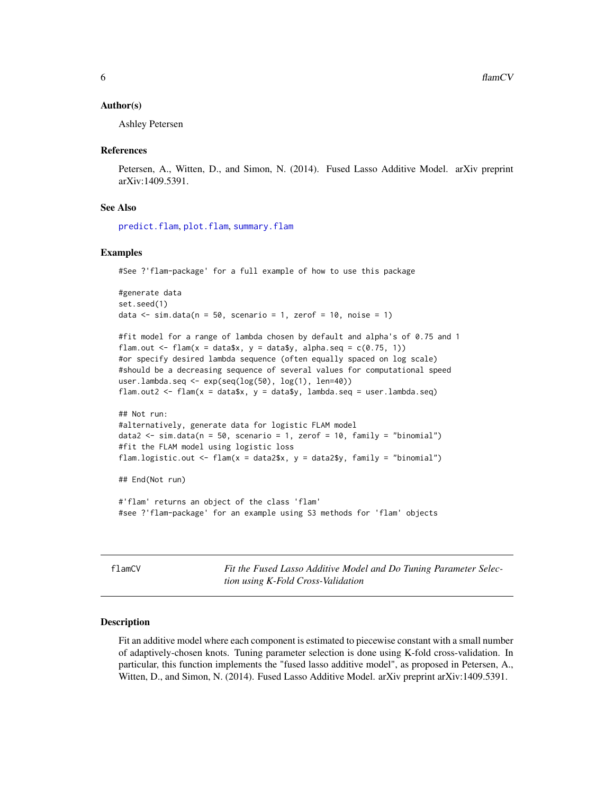#### <span id="page-5-0"></span>Author(s)

Ashley Petersen

#### References

Petersen, A., Witten, D., and Simon, N. (2014). Fused Lasso Additive Model. arXiv preprint arXiv:1409.5391.

#### See Also

[predict.flam](#page-13-1), [plot.flam](#page-10-1), [summary.flam](#page-16-2)

#### Examples

#See ?'flam-package' for a full example of how to use this package

```
#generate data
set.seed(1)
data \le sim.data(n = 50, scenario = 1, zerof = 10, noise = 1)
```

```
#fit model for a range of lambda chosen by default and alpha's of 0.75 and 1
flam.out \leq flam(x = data$x, y = data$y, alpha.seq = c(0.75, 1))
#or specify desired lambda sequence (often equally spaced on log scale)
#should be a decreasing sequence of several values for computational speed
user.lambda.seq <- exp(seq(log(50), log(1), len=40))
flam.out2 <- flam(x = data$x, y = data$y, lambda.seq = user.lambda.seq)
```

```
## Not run:
#alternatively, generate data for logistic FLAM model
data2 <- sim.data(n = 50, scenario = 1, zerof = 10, family = "binomial")
#fit the FLAM model using logistic loss
flam.logistic.out <- flam(x = data2$x, y = data2$y, family = "binomial")
```
## End(Not run)

#'flam' returns an object of the class 'flam' #see ?'flam-package' for an example using S3 methods for 'flam' objects

<span id="page-5-1"></span>flamCV *Fit the Fused Lasso Additive Model and Do Tuning Parameter Selection using K-Fold Cross-Validation*

#### Description

Fit an additive model where each component is estimated to piecewise constant with a small number of adaptively-chosen knots. Tuning parameter selection is done using K-fold cross-validation. In particular, this function implements the "fused lasso additive model", as proposed in Petersen, A., Witten, D., and Simon, N. (2014). Fused Lasso Additive Model. arXiv preprint arXiv:1409.5391.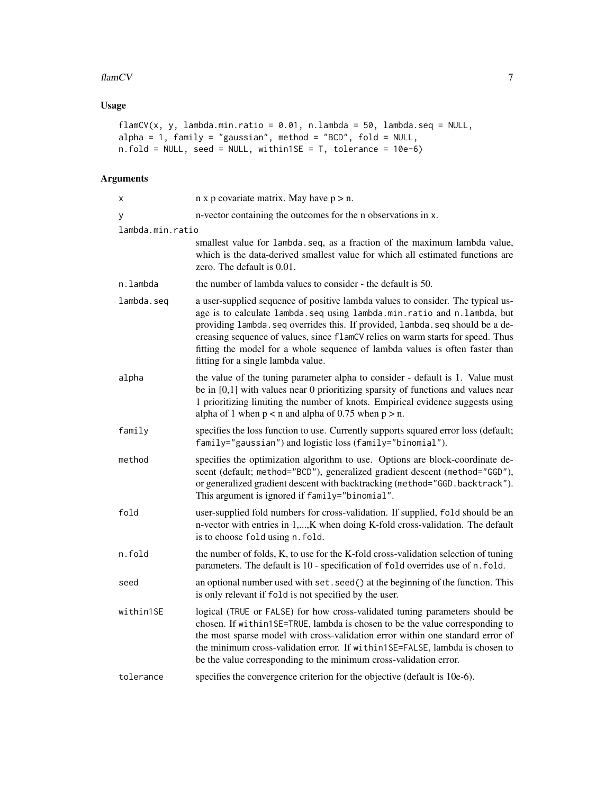#### $f$  flamCV  $\qquad \qquad$  7

# Usage

```
flamCV(x, y, lambda.min.ratio = 0.01, n.lambda = 50, lambda.seq = NULL,
alpha = 1, family = "gaussian", method = "BCD", fold = NULL,
n.fold = NULL, seed = NULL, within1SE = T, tolerance = 10e-6)
```
# Arguments

| X                | $n \times p$ covariate matrix. May have $p > n$ .                                                                                                                                                                                                                                                                                                                                                                                                     |
|------------------|-------------------------------------------------------------------------------------------------------------------------------------------------------------------------------------------------------------------------------------------------------------------------------------------------------------------------------------------------------------------------------------------------------------------------------------------------------|
| у                | n-vector containing the outcomes for the n observations in x.                                                                                                                                                                                                                                                                                                                                                                                         |
| lambda.min.ratio |                                                                                                                                                                                                                                                                                                                                                                                                                                                       |
|                  | smallest value for lambda.seq, as a fraction of the maximum lambda value,<br>which is the data-derived smallest value for which all estimated functions are<br>zero. The default is $0.01$ .                                                                                                                                                                                                                                                          |
| n.lambda         | the number of lambda values to consider - the default is 50.                                                                                                                                                                                                                                                                                                                                                                                          |
| lambda.seq       | a user-supplied sequence of positive lambda values to consider. The typical us-<br>age is to calculate lambda.seq using lambda.min.ratio and n.lambda, but<br>providing lambda. seq overrides this. If provided, lambda. seq should be a de-<br>creasing sequence of values, since flamCV relies on warm starts for speed. Thus<br>fitting the model for a whole sequence of lambda values is often faster than<br>fitting for a single lambda value. |
| alpha            | the value of the tuning parameter alpha to consider - default is 1. Value must<br>be in $[0,1]$ with values near 0 prioritizing sparsity of functions and values near<br>1 prioritizing limiting the number of knots. Empirical evidence suggests using<br>alpha of 1 when $p < n$ and alpha of 0.75 when $p > n$ .                                                                                                                                   |
| family           | specifies the loss function to use. Currently supports squared error loss (default;<br>family="gaussian") and logistic loss (family="binomial").                                                                                                                                                                                                                                                                                                      |
| method           | specifies the optimization algorithm to use. Options are block-coordinate de-<br>scent (default; method="BCD"), generalized gradient descent (method="GGD"),<br>or generalized gradient descent with backtracking (method="GGD.backtrack").<br>This argument is ignored if family="binomial".                                                                                                                                                         |
| fold             | user-supplied fold numbers for cross-validation. If supplied, fold should be an<br>n-vector with entries in 1,, K when doing K-fold cross-validation. The default<br>is to choose fold using n. fold.                                                                                                                                                                                                                                                 |
| n.fold           | the number of folds, K, to use for the K-fold cross-validation selection of tuning<br>parameters. The default is 10 - specification of fold overrides use of n. fold.                                                                                                                                                                                                                                                                                 |
| seed             | an optional number used with set. seed() at the beginning of the function. This<br>is only relevant if fold is not specified by the user.                                                                                                                                                                                                                                                                                                             |
| within1SE        | logical (TRUE or FALSE) for how cross-validated tuning parameters should be<br>chosen. If within1SE=TRUE, lambda is chosen to be the value corresponding to<br>the most sparse model with cross-validation error within one standard error of<br>the minimum cross-validation error. If within1SE=FALSE, lambda is chosen to<br>be the value corresponding to the minimum cross-validation error.                                                     |
| tolerance        | specifies the convergence criterion for the objective (default is 10e-6).                                                                                                                                                                                                                                                                                                                                                                             |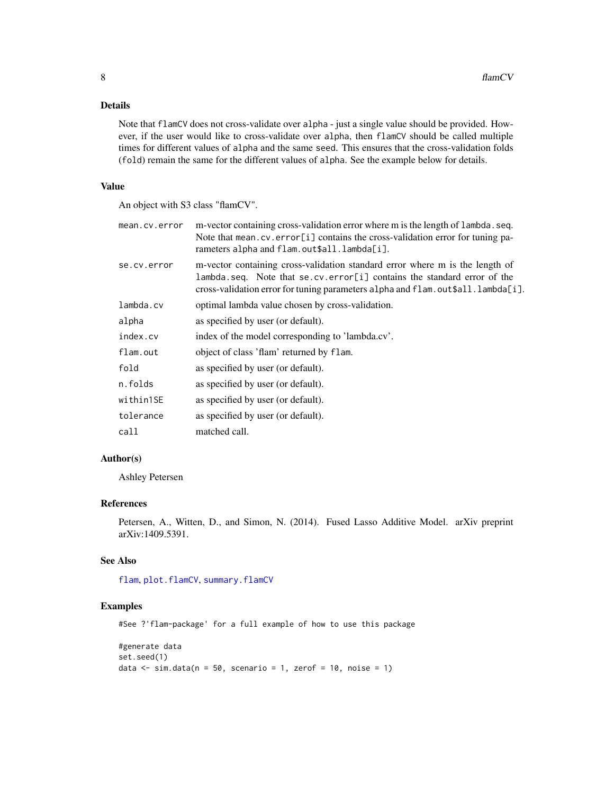# <span id="page-7-0"></span>Details

Note that flamCV does not cross-validate over alpha - just a single value should be provided. However, if the user would like to cross-validate over alpha, then flamCV should be called multiple times for different values of alpha and the same seed. This ensures that the cross-validation folds (fold) remain the same for the different values of alpha. See the example below for details.

# Value

An object with S3 class "flamCV".

| mean.cv.error | m-vector containing cross-validation error where m is the length of lambda. seq.<br>Note that mean.cv.error[i] contains the cross-validation error for tuning pa-<br>rameters alpha and flam.out\$all.lambda[i].                           |
|---------------|--------------------------------------------------------------------------------------------------------------------------------------------------------------------------------------------------------------------------------------------|
| se.cv.error   | m-vector containing cross-validation standard error where m is the length of<br>lambda.seq. Note that se.cv.error[i] contains the standard error of the<br>cross-validation error for tuning parameters alpha and flam.out\$all.lambda[i]. |
| lambda.cv     | optimal lambda value chosen by cross-validation.                                                                                                                                                                                           |
| alpha         | as specified by user (or default).                                                                                                                                                                                                         |
| index.cv      | index of the model corresponding to 'lambda.cv'.                                                                                                                                                                                           |
| flam.out      | object of class 'flam' returned by flam.                                                                                                                                                                                                   |
| fold          | as specified by user (or default).                                                                                                                                                                                                         |
| n.folds       | as specified by user (or default).                                                                                                                                                                                                         |
| within1SE     | as specified by user (or default).                                                                                                                                                                                                         |
| tolerance     | as specified by user (or default).                                                                                                                                                                                                         |
| call          | matched call.                                                                                                                                                                                                                              |

#### Author(s)

Ashley Petersen

# References

Petersen, A., Witten, D., and Simon, N. (2014). Fused Lasso Additive Model. arXiv preprint arXiv:1409.5391.

# See Also

[flam](#page-3-1), [plot.flamCV](#page-12-1), [summary.flamCV](#page-18-1)

#### Examples

```
#generate data
set.seed(1)
data \le sim.data(n = 50, scenario = 1, zerof = 10, noise = 1)
```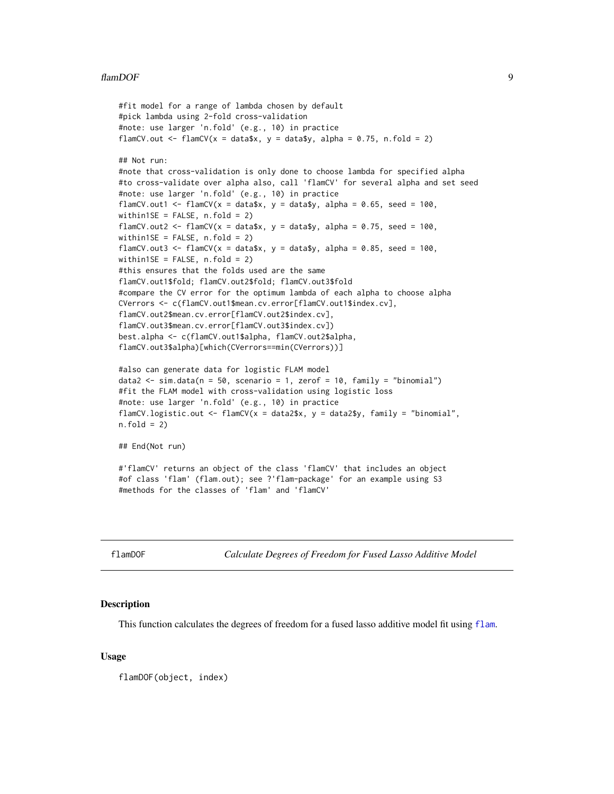#### <span id="page-8-0"></span>flamDOF 9

```
#fit model for a range of lambda chosen by default
#pick lambda using 2-fold cross-validation
#note: use larger 'n.fold' (e.g., 10) in practice
flamCV.out <- flamCV(x = data$x, y = data$y, alpha = 0.75, n.fold = 2)
## Not run:
#note that cross-validation is only done to choose lambda for specified alpha
#to cross-validate over alpha also, call 'flamCV' for several alpha and set seed
#note: use larger 'n.fold' (e.g., 10) in practice
flamCV.out1 <- flamCV(x = data$x, y = data$y, alpha = 0.65, seed = 100,
within1SE = FALSE, n.fold = 2)
flamCV.out2 <- flamCV(x = data$x, y = data$y, alpha = 0.75, seed = 100,
within1SE = FALSE, n.fold = 2)
flamCV.out3 <- flamCV(x = data$x, y = data$y, alpha = 0.85, seed = 100,
within1SE = FALSE, n.fold = 2)#this ensures that the folds used are the same
flamCV.out1$fold; flamCV.out2$fold; flamCV.out3$fold
#compare the CV error for the optimum lambda of each alpha to choose alpha
CVerrors <- c(flamCV.out1$mean.cv.error[flamCV.out1$index.cv],
flamCV.out2$mean.cv.error[flamCV.out2$index.cv],
flamCV.out3$mean.cv.error[flamCV.out3$index.cv])
best.alpha <- c(flamCV.out1$alpha, flamCV.out2$alpha,
flamCV.out3$alpha)[which(CVerrors==min(CVerrors))]
#also can generate data for logistic FLAM model
data2 <- sim.data(n = 50, scenario = 1, zerof = 10, family = "binomial")
#fit the FLAM model with cross-validation using logistic loss
#note: use larger 'n.fold' (e.g., 10) in practice
flamCV.logistic.out <- flamCV(x = data2$x, y = data2$y, family = "binomial",
n.fold = 2)## End(Not run)
#'flamCV' returns an object of the class 'flamCV' that includes an object
#of class 'flam' (flam.out); see ?'flam-package' for an example using S3
#methods for the classes of 'flam' and 'flamCV'
```
<span id="page-8-1"></span>flamDOF *Calculate Degrees of Freedom for Fused Lasso Additive Model*

#### Description

This function calculates the degrees of freedom for a fused lasso additive model fit using [flam](#page-3-1).

#### Usage

flamDOF(object, index)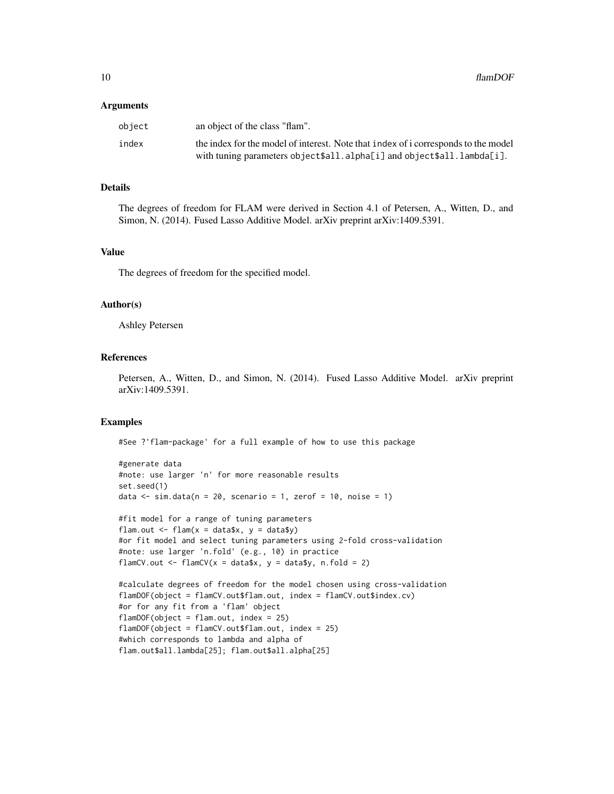#### Arguments

| object | an object of the class "flam".                                                                                                                               |
|--------|--------------------------------------------------------------------------------------------------------------------------------------------------------------|
| index  | the index for the model of interest. Note that index of i corresponds to the model<br>with tuning parameters object\$all.alpha[i] and object\$all.lambda[i]. |
|        |                                                                                                                                                              |

# Details

The degrees of freedom for FLAM were derived in Section 4.1 of Petersen, A., Witten, D., and Simon, N. (2014). Fused Lasso Additive Model. arXiv preprint arXiv:1409.5391.

#### Value

The degrees of freedom for the specified model.

#### Author(s)

Ashley Petersen

# References

Petersen, A., Witten, D., and Simon, N. (2014). Fused Lasso Additive Model. arXiv preprint arXiv:1409.5391.

# Examples

```
#generate data
#note: use larger 'n' for more reasonable results
set.seed(1)
data \le sim.data(n = 20, scenario = 1, zerof = 10, noise = 1)
#fit model for a range of tuning parameters
flam.out \leq flam(x = data$x, y = data$y)
#or fit model and select tuning parameters using 2-fold cross-validation
#note: use larger 'n.fold' (e.g., 10) in practice
flamCV.out \leq flamCV(x = data$x, y = data$y, n.fold = 2)
#calculate degrees of freedom for the model chosen using cross-validation
flamDOF(object = flamCV.out$flam.out, index = flamCV.out$index.cv)
#or for any fit from a 'flam' object
flamDOF(object = flam.out, index = 25)
flamDOF(object = flamCV.out$flam.out, index = 25)
#which corresponds to lambda and alpha of
flam.out$all.lambda[25]; flam.out$all.alpha[25]
```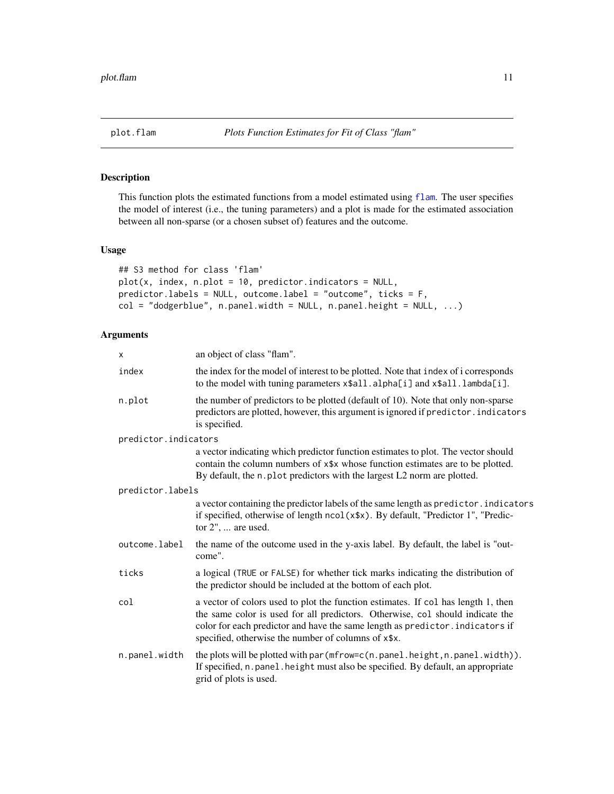<span id="page-10-1"></span><span id="page-10-0"></span>

This function plots the estimated functions from a model estimated using [flam](#page-3-1). The user specifies the model of interest (i.e., the tuning parameters) and a plot is made for the estimated association between all non-sparse (or a chosen subset of) features and the outcome.

# Usage

```
## S3 method for class 'flam'
plot(x, index, n.plot = 10, predictor.indicators = NULL,predictor.labels = NULL, outcome.label = "outcome", ticks = F,
col = "dodge blue", n.panel.width = NULL, n.panel.height = NULL, ...)
```
#### Arguments

| X                    | an object of class "flam".                                                                                                                                                                                                                                                                                 |  |  |  |  |  |
|----------------------|------------------------------------------------------------------------------------------------------------------------------------------------------------------------------------------------------------------------------------------------------------------------------------------------------------|--|--|--|--|--|
| index                | the index for the model of interest to be plotted. Note that index of i corresponds<br>to the model with tuning parameters x\$all.alpha[i] and x\$all.lambda[i].                                                                                                                                           |  |  |  |  |  |
| n.plot               | the number of predictors to be plotted (default of 10). Note that only non-sparse<br>predictors are plotted, however, this argument is ignored if predictor. indicators<br>is specified.                                                                                                                   |  |  |  |  |  |
| predictor.indicators |                                                                                                                                                                                                                                                                                                            |  |  |  |  |  |
|                      | a vector indicating which predictor function estimates to plot. The vector should<br>contain the column numbers of x\$x whose function estimates are to be plotted.<br>By default, the n. plot predictors with the largest L2 norm are plotted.                                                            |  |  |  |  |  |
| predictor.labels     |                                                                                                                                                                                                                                                                                                            |  |  |  |  |  |
|                      | a vector containing the predictor labels of the same length as predictor. indicators<br>if specified, otherwise of length ncol(x\$x). By default, "Predictor 1", "Predic-<br>tor $2$ ",  are used.                                                                                                         |  |  |  |  |  |
| outcome.label        | the name of the outcome used in the y-axis label. By default, the label is "out-<br>come".                                                                                                                                                                                                                 |  |  |  |  |  |
| ticks                | a logical (TRUE or FALSE) for whether tick marks indicating the distribution of<br>the predictor should be included at the bottom of each plot.                                                                                                                                                            |  |  |  |  |  |
| col                  | a vector of colors used to plot the function estimates. If col has length 1, then<br>the same color is used for all predictors. Otherwise, col should indicate the<br>color for each predictor and have the same length as predictor. indicators if<br>specified, otherwise the number of columns of x\$x. |  |  |  |  |  |
| n.panel.width        | the plots will be plotted with par (mfrow=c(n.panel.height,n.panel.width)).<br>If specified, n. panel. height must also be specified. By default, an appropriate<br>grid of plots is used.                                                                                                                 |  |  |  |  |  |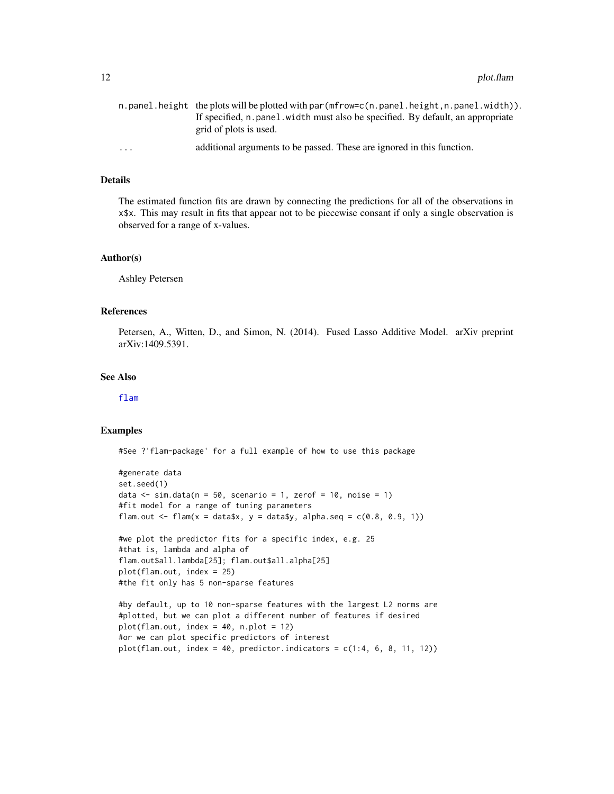<span id="page-11-0"></span>

|          | $n$ . panel. height the plots will be plotted with par $(mfrow=c(n, panel, height, n, panel, width))$ . |
|----------|---------------------------------------------------------------------------------------------------------|
|          | If specified, n. panel width must also be specified. By default, an appropriate                         |
|          | grid of plots is used.                                                                                  |
| $\cdots$ | additional arguments to be passed. These are ignored in this function.                                  |

#### Details

The estimated function fits are drawn by connecting the predictions for all of the observations in x\$x. This may result in fits that appear not to be piecewise consant if only a single observation is observed for a range of x-values.

#### Author(s)

Ashley Petersen

#### References

Petersen, A., Witten, D., and Simon, N. (2014). Fused Lasso Additive Model. arXiv preprint arXiv:1409.5391.

# See Also

[flam](#page-3-1)

#### Examples

#See ?'flam-package' for a full example of how to use this package

```
#generate data
set.seed(1)
data \le sim.data(n = 50, scenario = 1, zerof = 10, noise = 1)
#fit model for a range of tuning parameters
flam.out \leq flam(x = data$x, y = data$y, alpha.seq = c(0.8, 0.9, 1))
```
#we plot the predictor fits for a specific index, e.g. 25 #that is, lambda and alpha of flam.out\$all.lambda[25]; flam.out\$all.alpha[25] plot(flam.out, index = 25) #the fit only has 5 non-sparse features

```
#by default, up to 10 non-sparse features with the largest L2 norms are
#plotted, but we can plot a different number of features if desired
plot(flam.out, index = 40, n.plot = 12)
#or we can plot specific predictors of interest
plot(flam.out, index = 40, predictor.indicators = c(1:4, 6, 8, 11, 12))
```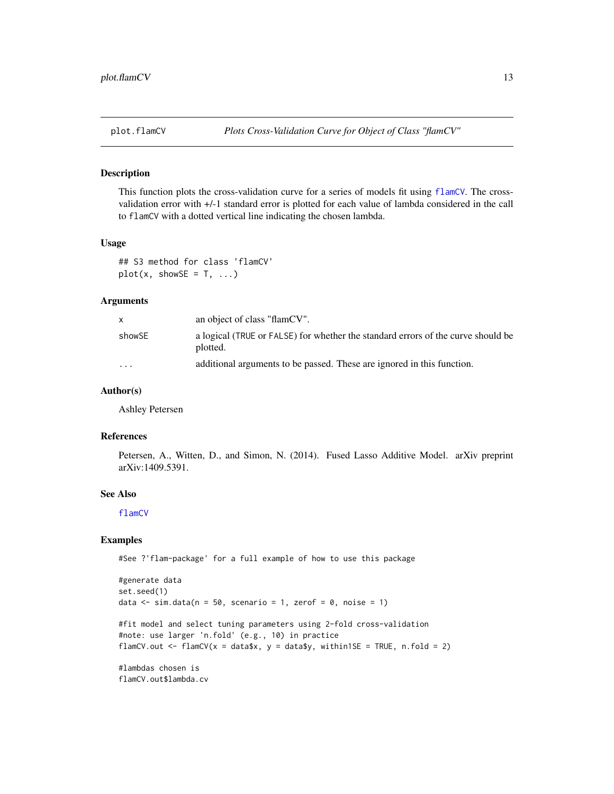<span id="page-12-1"></span><span id="page-12-0"></span>

This function plots the cross-validation curve for a series of models fit using [flamCV](#page-5-1). The crossvalidation error with +/-1 standard error is plotted for each value of lambda considered in the call to flamCV with a dotted vertical line indicating the chosen lambda.

# Usage

## S3 method for class 'flamCV'  $plot(x, showSE = T, ...)$ 

#### Arguments

|                         | an object of class "flamCV".                                                                 |
|-------------------------|----------------------------------------------------------------------------------------------|
| showSE                  | a logical (TRUE or FALSE) for whether the standard errors of the curve should be<br>plotted. |
| $\cdot$ $\cdot$ $\cdot$ | additional arguments to be passed. These are ignored in this function.                       |

#### Author(s)

Ashley Petersen

#### References

Petersen, A., Witten, D., and Simon, N. (2014). Fused Lasso Additive Model. arXiv preprint arXiv:1409.5391.

#### See Also

[flamCV](#page-5-1)

# Examples

```
#generate data
set.seed(1)
data \le sim.data(n = 50, scenario = 1, zerof = 0, noise = 1)
#fit model and select tuning parameters using 2-fold cross-validation
#note: use larger 'n.fold' (e.g., 10) in practice
flamCV.out <- flamCV(x = data$x, y = data$y, within1SE = TRUE, n.fold = 2)
#lambdas chosen is
flamCV.out$lambda.cv
```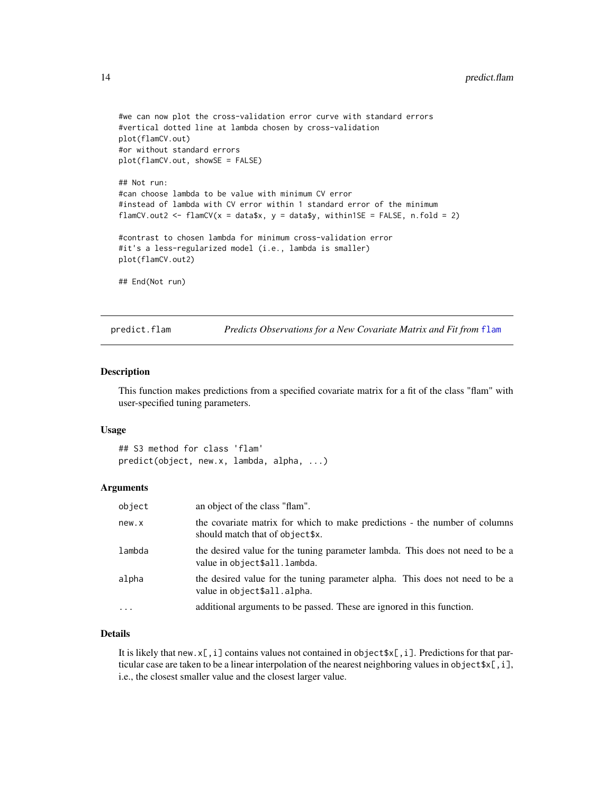```
#we can now plot the cross-validation error curve with standard errors
#vertical dotted line at lambda chosen by cross-validation
plot(flamCV.out)
#or without standard errors
plot(flamCV.out, showSE = FALSE)
## Not run:
#can choose lambda to be value with minimum CV error
#instead of lambda with CV error within 1 standard error of the minimum
flamCV.out2 <- flamCV(x = data$x, y = data$y, within1SE = FALSE, n.fold = 2)
#contrast to chosen lambda for minimum cross-validation error
#it's a less-regularized model (i.e., lambda is smaller)
plot(flamCV.out2)
## End(Not run)
```
<span id="page-13-1"></span>predict.flam *Predicts Observations for a New Covariate Matrix and Fit from* [flam](#page-3-1)

#### Description

This function makes predictions from a specified covariate matrix for a fit of the class "flam" with user-specified tuning parameters.

#### Usage

## S3 method for class 'flam' predict(object, new.x, lambda, alpha, ...)

#### Arguments

| object     | an object of the class "flam".                                                                                |
|------------|---------------------------------------------------------------------------------------------------------------|
| new.x      | the covariate matrix for which to make predictions - the number of columns<br>should match that of object\$x. |
| lambda     | the desired value for the tuning parameter lambda. This does not need to be a<br>value in object\$all.lambda. |
| alpha      | the desired value for the tuning parameter alpha. This does not need to be a<br>value in object\$all.alpha.   |
| $\ddots$ . | additional arguments to be passed. These are ignored in this function.                                        |

# Details

It is likely that new. $x[i, j]$  contains values not contained in object  $x[i, j]$ . Predictions for that particular case are taken to be a linear interpolation of the nearest neighboring values in object  $\{x[,i],\}$ i.e., the closest smaller value and the closest larger value.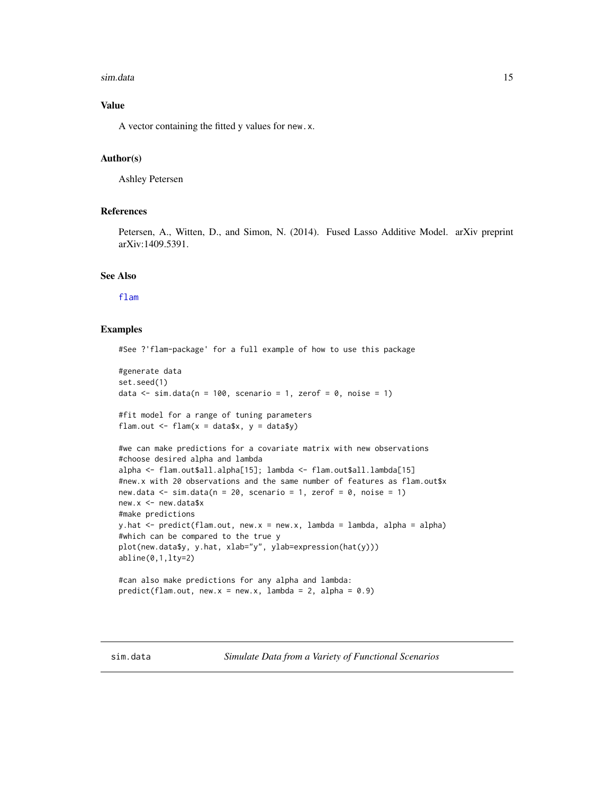#### <span id="page-14-0"></span>sim.data 15

# Value

A vector containing the fitted y values for new.x.

#### Author(s)

Ashley Petersen

#### References

Petersen, A., Witten, D., and Simon, N. (2014). Fused Lasso Additive Model. arXiv preprint arXiv:1409.5391.

# See Also

[flam](#page-3-1)

# Examples

```
#See ?'flam-package' for a full example of how to use this package
#generate data
set.seed(1)
data \le sim.data(n = 100, scenario = 1, zerof = 0, noise = 1)
#fit model for a range of tuning parameters
flam.out \leq flam(x = data$x, y = data$y)
#we can make predictions for a covariate matrix with new observations
#choose desired alpha and lambda
alpha <- flam.out$all.alpha[15]; lambda <- flam.out$all.lambda[15]
#new.x with 20 observations and the same number of features as flam.out$x
new.data \leq sim.data(n = 20, scenario = 1, zerof = 0, noise = 1)
new.x <- new.data$x
#make predictions
y.hat \leq predict(flam.out, new.x = new.x, lambda = lambda, alpha = alpha)
#which can be compared to the true y
plot(new.data$y, y.hat, xlab="y", ylab=expression(hat(y)))
abline(0,1,lty=2)
#can also make predictions for any alpha and lambda:
predict(flam.out, new.x = new.x, lambda = 2, alpha = 0.9)
```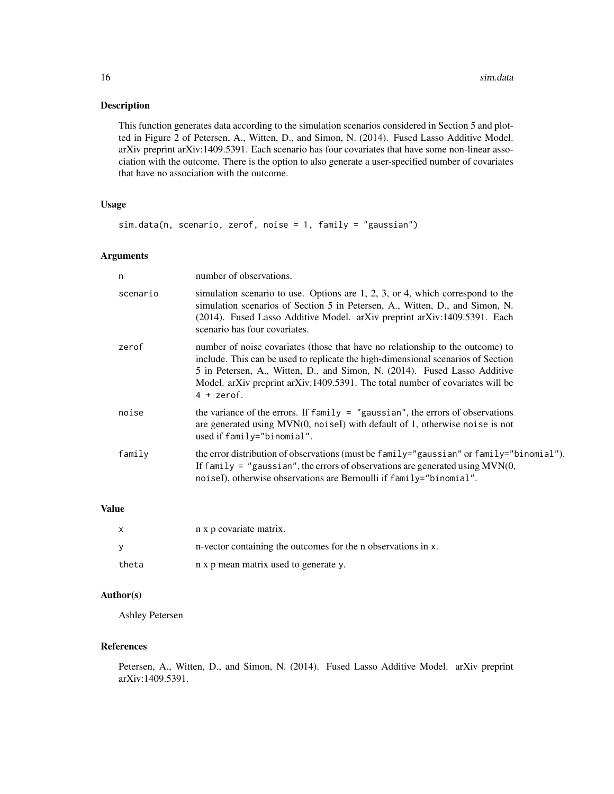This function generates data according to the simulation scenarios considered in Section 5 and plotted in Figure 2 of Petersen, A., Witten, D., and Simon, N. (2014). Fused Lasso Additive Model. arXiv preprint arXiv:1409.5391. Each scenario has four covariates that have some non-linear association with the outcome. There is the option to also generate a user-specified number of covariates that have no association with the outcome.

# Usage

```
sim.data(n, scenario, zerof, noise = 1, family = "gaussian")
```
# Arguments

| n.       | number of observations.                                                                                                                                                                                                                                                                                                                          |
|----------|--------------------------------------------------------------------------------------------------------------------------------------------------------------------------------------------------------------------------------------------------------------------------------------------------------------------------------------------------|
| scenario | simulation scenario to use. Options are $1, 2, 3$ , or $4$ , which correspond to the<br>simulation scenarios of Section 5 in Petersen, A., Witten, D., and Simon, N.<br>(2014). Fused Lasso Additive Model. arXiv preprint arXiv:1409.5391. Each<br>scenario has four covariates.                                                                |
| zerof    | number of noise covariates (those that have no relationship to the outcome) to<br>include. This can be used to replicate the high-dimensional scenarios of Section<br>5 in Petersen, A., Witten, D., and Simon, N. (2014). Fused Lasso Additive<br>Model. arXiv preprint arXiv:1409.5391. The total number of covariates will be<br>$4 + zerof.$ |
| noise    | the variance of the errors. If $family = "gaussian",$ the errors of observations<br>are generated using $MVN(0, noiseI)$ with default of 1, otherwise noise is not<br>used if family="binomial".                                                                                                                                                 |
| family   | the error distribution of observations (must be family="gaussian" or family="binomial").<br>If family = "gaussian", the errors of observations are generated using $MVN(0,$<br>noiseI), otherwise observations are Bernoulli if family="binomial".                                                                                               |

# Value

| $\mathsf{x}$ | n x p covariate matrix.                                       |
|--------------|---------------------------------------------------------------|
|              | n-vector containing the outcomes for the n observations in x. |
| theta        | n x p mean matrix used to generate y.                         |

# Author(s)

Ashley Petersen

# References

Petersen, A., Witten, D., and Simon, N. (2014). Fused Lasso Additive Model. arXiv preprint arXiv:1409.5391.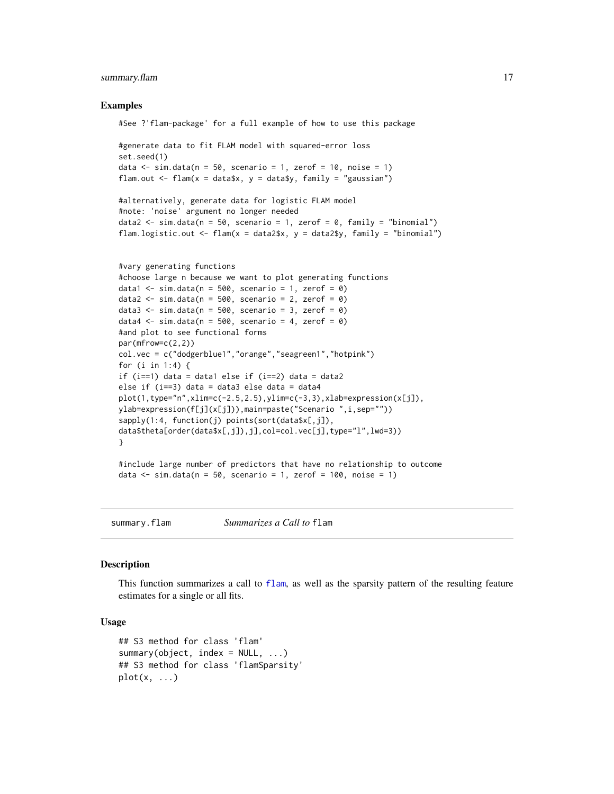# <span id="page-16-0"></span>summary.flam 17

#### Examples

```
#See ?'flam-package' for a full example of how to use this package
#generate data to fit FLAM model with squared-error loss
set.seed(1)
data \le sim.data(n = 50, scenario = 1, zerof = 10, noise = 1)
flam.out \leq flam(x = data$x, y = data$y, family = "gaussian")
#alternatively, generate data for logistic FLAM model
#note: 'noise' argument no longer needed
data2 <- sim.data(n = 50, scenario = 1, zerof = 0, family = "binomial")
flam.logistic.out \leq flam(x = data2$x, y = data2$y, family = "binomial")
#vary generating functions
#choose large n because we want to plot generating functions
data1 \le sim.data(n = 500, scenario = 1, zerof = 0)
data2 \le sim.data(n = 500, scenario = 2, zerof = 0)
data3 <- sim.data(n = 500, scenario = 3, zerof = 0)
data4 \le sim.data(n = 500, scenario = 4, zerof = 0)
#and plot to see functional forms
par(mfrow=c(2,2))
col.vec = c("dodgerblue1","orange","seagreen1","hotpink")
for (i in 1:4) {
if (i==1) data = data1 else if (i==2) data = data2
else if (i==3) data = data3 else data = data4
plot(1,type="n",xlim=c(-2.5,2.5),ylim=c(-3,3),xlab=expression(x[j]),
ylab=expression(f[j](x[j])),main=paste("Scenario ",i,sep=""))
sapply(1:4, function(j) points(sort(data$x[,j]),
data$theta[order(data$x[,j]),j],col=col.vec[j],type="l",lwd=3))
}
#include large number of predictors that have no relationship to outcome
data \le sim.data(n = 50, scenario = 1, zerof = 100, noise = 1)
```
<span id="page-16-2"></span>summary.flam *Summarizes a Call to* flam

#### <span id="page-16-1"></span>**Description**

This function summarizes a call to [flam](#page-3-1), as well as the sparsity pattern of the resulting feature estimates for a single or all fits.

#### Usage

```
## S3 method for class 'flam'
summary(object, index = NULL, ...)## S3 method for class 'flamSparsity'
plot(x, \ldots)
```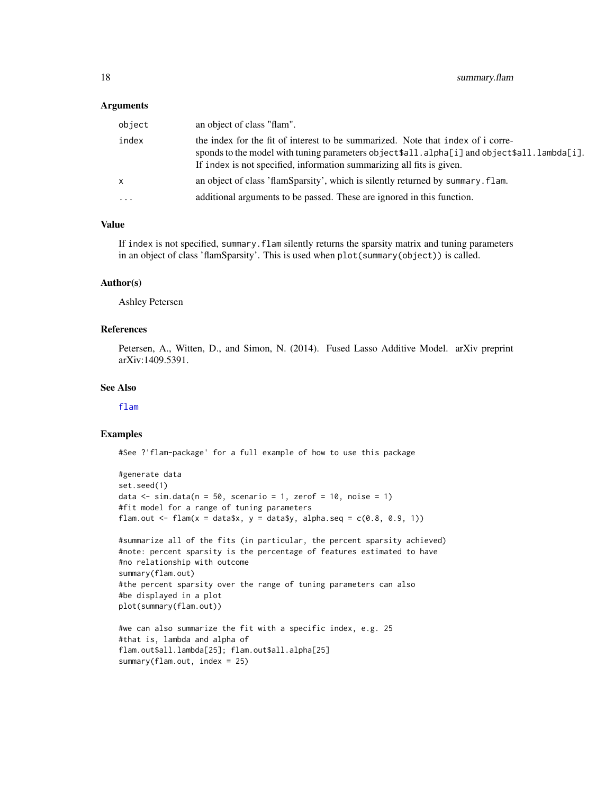#### <span id="page-17-0"></span>Arguments

| object       | an object of class "flam".                                                                                                                                                                                                                             |
|--------------|--------------------------------------------------------------------------------------------------------------------------------------------------------------------------------------------------------------------------------------------------------|
| index        | the index for the fit of interest to be summarized. Note that index of i corre-<br>sponds to the model with tuning parameters object\$all.alpha[i] and object\$all.lambda[i].<br>If index is not specified, information summarizing all fits is given. |
| $\mathsf{X}$ | an object of class 'flamSparsity', which is silently returned by summary. flam.                                                                                                                                                                        |
| .            | additional arguments to be passed. These are ignored in this function.                                                                                                                                                                                 |

#### Value

If index is not specified, summary.flam silently returns the sparsity matrix and tuning parameters in an object of class 'flamSparsity'. This is used when plot(summary(object)) is called.

#### Author(s)

Ashley Petersen

#### References

Petersen, A., Witten, D., and Simon, N. (2014). Fused Lasso Additive Model. arXiv preprint arXiv:1409.5391.

# See Also

[flam](#page-3-1)

# Examples

```
#generate data
set.seed(1)
data \le sim.data(n = 50, scenario = 1, zerof = 10, noise = 1)
#fit model for a range of tuning parameters
flam.out \leq flam(x = data$x, y = data$y, alpha.seq = c(0.8, 0.9, 1))
#summarize all of the fits (in particular, the percent sparsity achieved)
#note: percent sparsity is the percentage of features estimated to have
#no relationship with outcome
summary(flam.out)
#the percent sparsity over the range of tuning parameters can also
#be displayed in a plot
plot(summary(flam.out))
#we can also summarize the fit with a specific index, e.g. 25
#that is, lambda and alpha of
flam.out$all.lambda[25]; flam.out$all.alpha[25]
summary(flam.out, index = 25)
```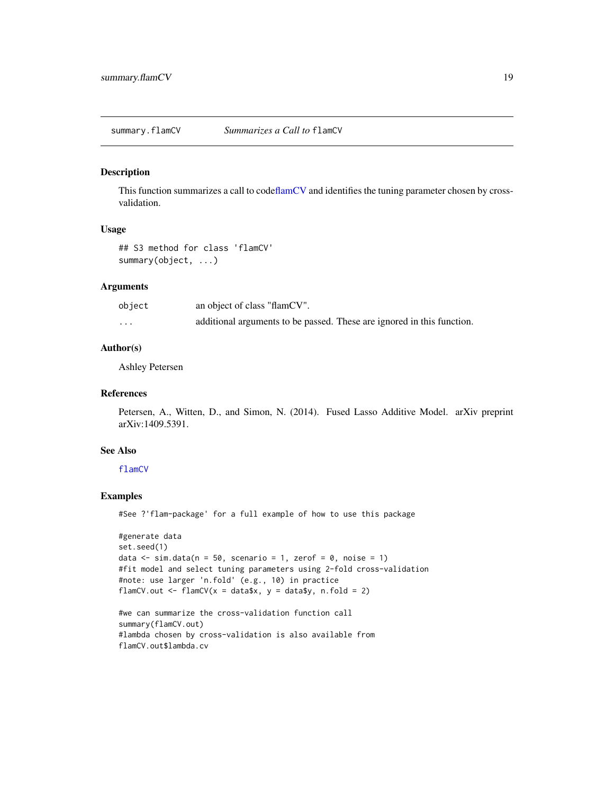<span id="page-18-1"></span><span id="page-18-0"></span>summary.flamCV *Summarizes a Call to* flamCV

#### Description

This function summarizes a call to cod[eflamCV](#page-5-1) and identifies the tuning parameter chosen by crossvalidation.

# Usage

## S3 method for class 'flamCV' summary(object, ...)

# Arguments

| object   | an object of class "flamCV".                                           |
|----------|------------------------------------------------------------------------|
| $\cdots$ | additional arguments to be passed. These are ignored in this function. |

# Author(s)

Ashley Petersen

#### References

Petersen, A., Witten, D., and Simon, N. (2014). Fused Lasso Additive Model. arXiv preprint arXiv:1409.5391.

# See Also

[flamCV](#page-5-1)

# Examples

```
#generate data
set.seed(1)
data \le sim.data(n = 50, scenario = 1, zerof = 0, noise = 1)
#fit model and select tuning parameters using 2-fold cross-validation
#note: use larger 'n.fold' (e.g., 10) in practice
flamCV.out \leq flamCV(x = data$x, y = data$y, n.fold = 2)
#we can summarize the cross-validation function call
```

```
summary(flamCV.out)
#lambda chosen by cross-validation is also available from
flamCV.out$lambda.cv
```